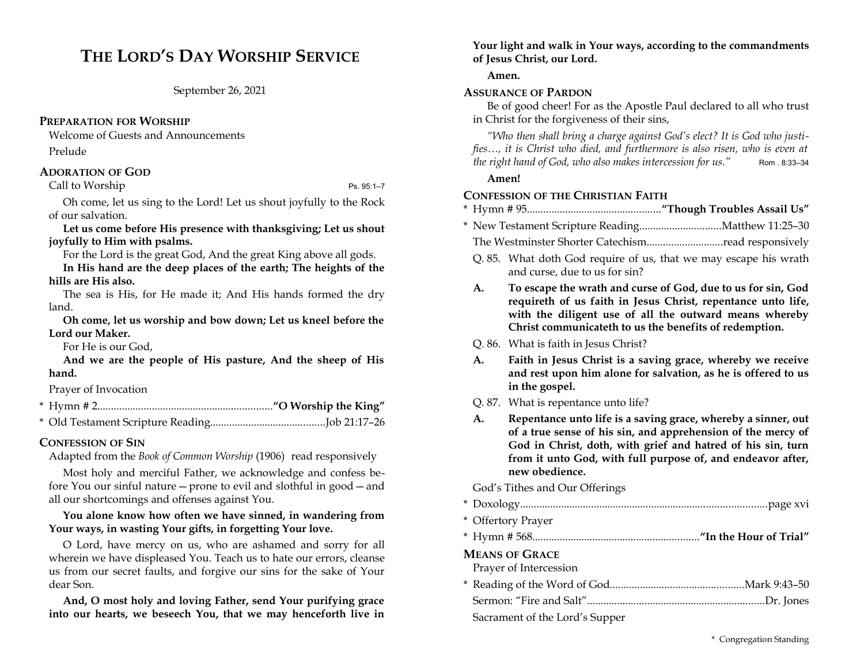# **THE LORD'S DAY WORSHIP SERVICE**

September 26, 2021

### **PREPARATION FOR WORSHIP**

Welcome of Guests and Announcements

Prelude

## **ADORATION OF GOD**

Call to Worship Ps. 95:1–7

Oh come, let us sing to the Lord! Let us shout joyfully to the Rock of our salvation.

**Let us come before His presence with thanksgiving; Let us shout joyfully to Him with psalms.** 

For the Lord is the great God, And the great King above all gods.

**In His hand are the deep places of the earth; The heights of the hills are His also.** 

The sea is His, for He made it; And His hands formed the dry land.

**Oh come, let us worship and bow down; Let us kneel before the Lord our Maker.** 

For He is our God,

**And we are the people of His pasture, And the sheep of His hand.** 

Prayer of Invocation

- \* Hymn # 2................................................................**"O Worship the King"**
- \* Old Testament Scripture Reading..........................................Job 21:17–26

## **CONFESSION OF SIN**

Adapted from the *Book of Common Worship* (1906) read responsively

Most holy and merciful Father, we acknowledge and confess before You our sinful nature—prone to evil and slothful in good—and all our shortcomings and offenses against You.

## **You alone know how often we have sinned, in wandering from Your ways, in wasting Your gifts, in forgetting Your love.**

O Lord, have mercy on us, who are ashamed and sorry for all wherein we have displeased You. Teach us to hate our errors, cleanse us from our secret faults, and forgive our sins for the sake of Your dear Son.

**And, O most holy and loving Father, send Your purifying grace into our hearts, we beseech You, that we may henceforth live in**

### **Your light and walk in Your ways, according to the commandments of Jesus Christ, our Lord.**

**Amen.**

## **ASSURANCE OF PARDON**

Be of good cheer! For as the Apostle Paul declared to all who trust in Christ for the forgiveness of their sins,

*"Who then shall bring a charge against God's elect? It is God who justifies…, it is Christ who died, and furthermore is also risen, who is even at the right hand of God, who also makes intercession for us."* Rom . 8:33-34

## **Amen!**

## **CONFESSION OF THE CHRISTIAN FAITH**

- \* Hymn # 95.................................................**"Though Troubles Assail Us"**
- \* New Testament Scripture Reading..............................Matthew 11:25–30
	- The Westminster Shorter Catechism............................read responsively
	- Q. 85. What doth God require of us, that we may escape his wrath and curse, due to us for sin?
	- **A. To escape the wrath and curse of God, due to us for sin, God requireth of us faith in Jesus Christ, repentance unto life, with the diligent use of all the outward means whereby Christ communicateth to us the benefits of redemption.**
	- Q. 86. What is faith in Jesus Christ?
	- **A. Faith in Jesus Christ is a saving grace, whereby we receive and rest upon him alone for salvation, as he is offered to us in the gospel.**
	- Q. 87. What is repentance unto life?
	- **A. Repentance unto life is a saving grace, whereby a sinner, out of a true sense of his sin, and apprehension of the mercy of God in Christ, doth, with grief and hatred of his sin, turn from it unto God, with full purpose of, and endeavor after, new obedience.**

God's Tithes and Our Offerings

- \* Doxology..........................................................................................page xvi
- \* Offertory Prayer
- \* Hymn # 568.............................................................**"In the Hour of Trial"**

## **MEANS OF GRACE**

| Prayer of Intercession         |  |
|--------------------------------|--|
|                                |  |
|                                |  |
| Sacrament of the Lord's Supper |  |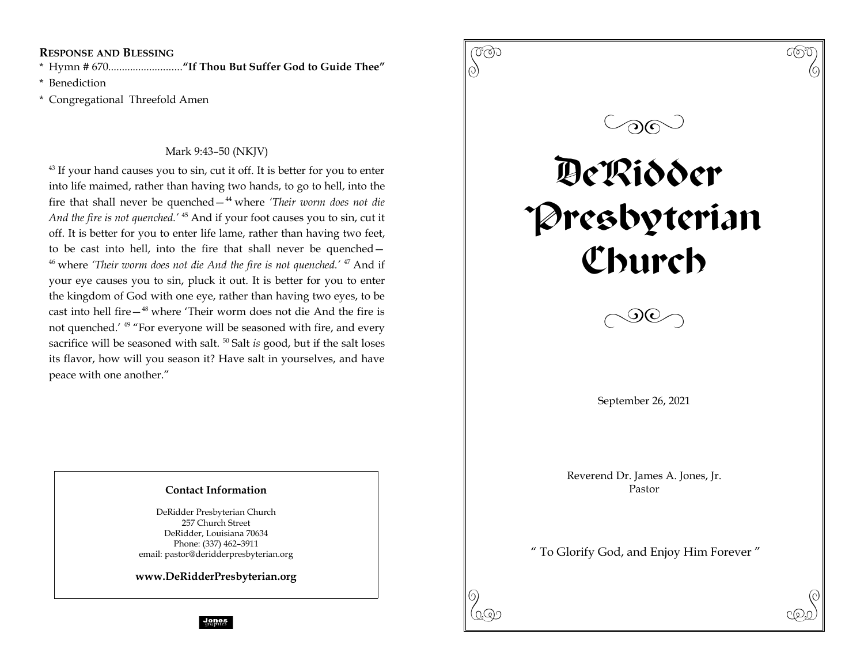**RESPONSE AND BLESSING**

\* Hymn # 670...........................**"If Thou But Suffer God to Guide Thee"**

\* Benediction

\* Congregational Threefold Amen

## Mark 9:43–50 (NKJV)

 $43$  If your hand causes you to sin, cut it off. It is better for you to enter into life maimed, rather than having two hands, to go to hell, into the fire that shall never be quenched—<sup>44</sup> where *'Their worm does not die And the fire is not quenched.'* <sup>45</sup> And if your foot causes you to sin, cut it off. It is better for you to enter life lame, rather than having two feet, to be cast into hell, into the fire that shall never be quenched— <sup>46</sup> where *'Their worm does not die And the fire is not quenched.'* <sup>47</sup> And if your eye causes you to sin, pluck it out. It is better for you to enter the kingdom of God with one eye, rather than having two eyes, to be cast into hell fire—<sup>48</sup> where 'Their worm does not die And the fire is not quenched.' <sup>49</sup> "For everyone will be seasoned with fire, and every sacrifice will be seasoned with salt.<sup>50</sup> Salt *is* good, but if the salt loses its flavor, how will you season it? Have salt in yourselves, and have peace with one another."

## **Contact Information**

DeRidder Presbyterian Church 257 Church Street DeRidder, Louisiana 70634 Phone: (337) 462–3911 email: pastor@deridderpresbyterian.org

**www.DeRidderPresbyterian.org**

 $\begin{pmatrix} 0 & 0 & 0 \ 0 & 0 & 0 \end{pmatrix}$  $\circledcirc$ DeRidder Presbyterian Church  $\Diamond$ September 26, 2021 Reverend Dr. James A. Jones, Jr. Pastor " To Glorify God, and Enjoy Him Forever "  $\mathcal{P}(\mathcal{P})$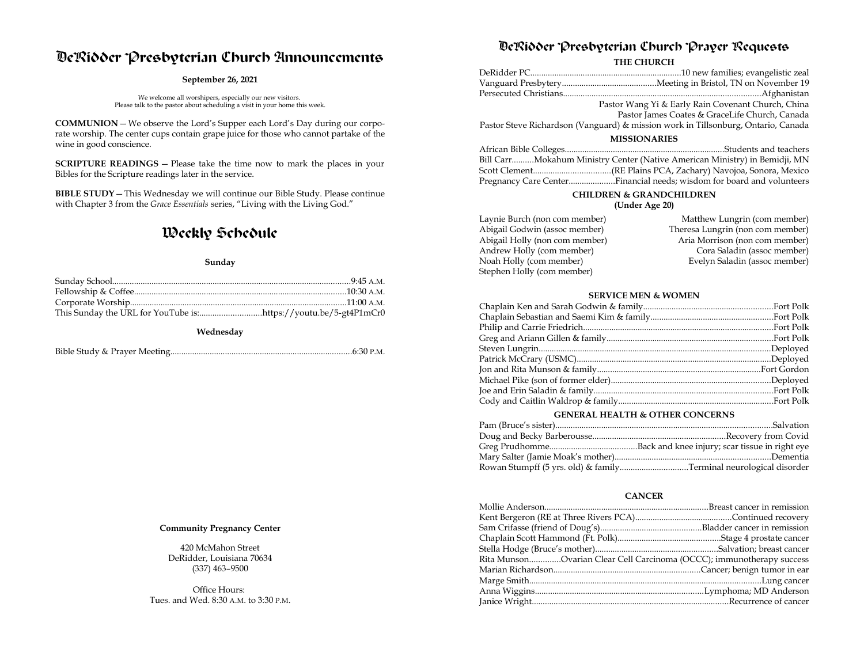# DeRidder Presbyterian Church Announcements

#### **September 26, 2021**

We welcome all worshipers, especially our new visitors. Please talk to the pastor about scheduling a visit in your home this week.

**COMMUNION**—We observe the Lord's Supper each Lord's Day during our corporate worship. The center cups contain grape juice for those who cannot partake of the wine in good conscience.

**SCRIPTURE READINGS** – Please take the time now to mark the places in your Bibles for the Scripture readings later in the service.

**BIBLE STUDY**—This Wednesday we will continue our Bible Study. Please continue with Chapter 3 from the *Grace Essentials* series, "Living with the Living God."

# Weekly Schedule

#### **Sunday**

**Wednesday**

|--|--|--|--|--|

#### **Community Pregnancy Center**

420 McMahon Street DeRidder, Louisiana 70634 (337) 463–9500

Office Hours: Tues. and Wed. 8:30 A.M. to 3:30 P.M.

## DeRidder Presbyterian Church Prayer Requests

**THE CHURCH**

|                     | Pastor Wang Yi & Early Rain Covenant Church, China                                |  |
|---------------------|-----------------------------------------------------------------------------------|--|
|                     | Pastor James Coates & GraceLife Church, Canada                                    |  |
|                     | Pastor Steve Richardson (Vanguard) & mission work in Tillsonburg, Ontario, Canada |  |
| <b>MISSIONARIES</b> |                                                                                   |  |
|                     |                                                                                   |  |
|                     | Bill CarrMokahum Ministry Center (Native American Ministry) in Bemidji, MN        |  |
|                     |                                                                                   |  |
|                     |                                                                                   |  |
|                     |                                                                                   |  |

### **CHILDREN & GRANDCHILDREN**

**(Under Age 20)**

| Laynie Burch (non com member)  | Matthew Lungrin (com member)     |
|--------------------------------|----------------------------------|
| Abigail Godwin (assoc member)  | Theresa Lungrin (non com member) |
| Abigail Holly (non com member) | Aria Morrison (non com member)   |
| Andrew Holly (com member)      | Cora Saladin (assoc member)      |
| Noah Holly (com member)        | Evelyn Saladin (assoc member)    |
| Stephen Holly (com member)     |                                  |
|                                |                                  |

#### **SERVICE MEN & WOMEN**

#### **GENERAL HEALTH & OTHER CONCERNS**

#### **CANCER**

| Rita MunsonOvarian Clear Cell Carcinoma (OCCC); immunotherapy success |  |
|-----------------------------------------------------------------------|--|
|                                                                       |  |
|                                                                       |  |
|                                                                       |  |
|                                                                       |  |